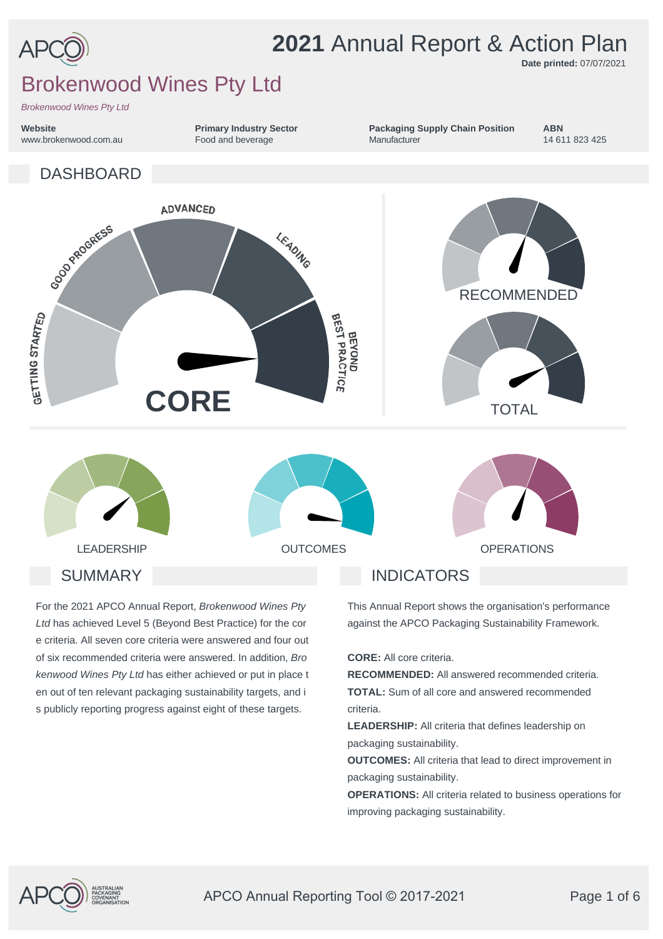

# **2021** Annual Report & Action Plan

**Packaging Supply Chain Position**

**Manufacturer** 

**Date printed:** 07/07/2021

14 611 823 425

**ABN**

# Brokenwood Wines Pty Ltd

*Brokenwood Wines Pty Ltd*

**Website** www.brokenwood.com.au **Primary Industry Sector** Food and beverage



For the 2021 APCO Annual Report, *Brokenwood Wines Pty Ltd* has achieved Level 5 (Beyond Best Practice) for the cor e criteria. All seven core criteria were answered and four out of six recommended criteria were answered. In addition, *Bro kenwood Wines Pty Ltd* has either achieved or put in place t en out of ten relevant packaging sustainability targets, and i s publicly reporting progress against eight of these targets.

This Annual Report shows the organisation's performance against the APCO Packaging Sustainability Framework.

**CORE:** All core criteria.

**RECOMMENDED:** All answered recommended criteria. **TOTAL:** Sum of all core and answered recommended criteria.

**LEADERSHIP:** All criteria that defines leadership on packaging sustainability.

**OUTCOMES:** All criteria that lead to direct improvement in packaging sustainability.

**OPERATIONS:** All criteria related to business operations for improving packaging sustainability.

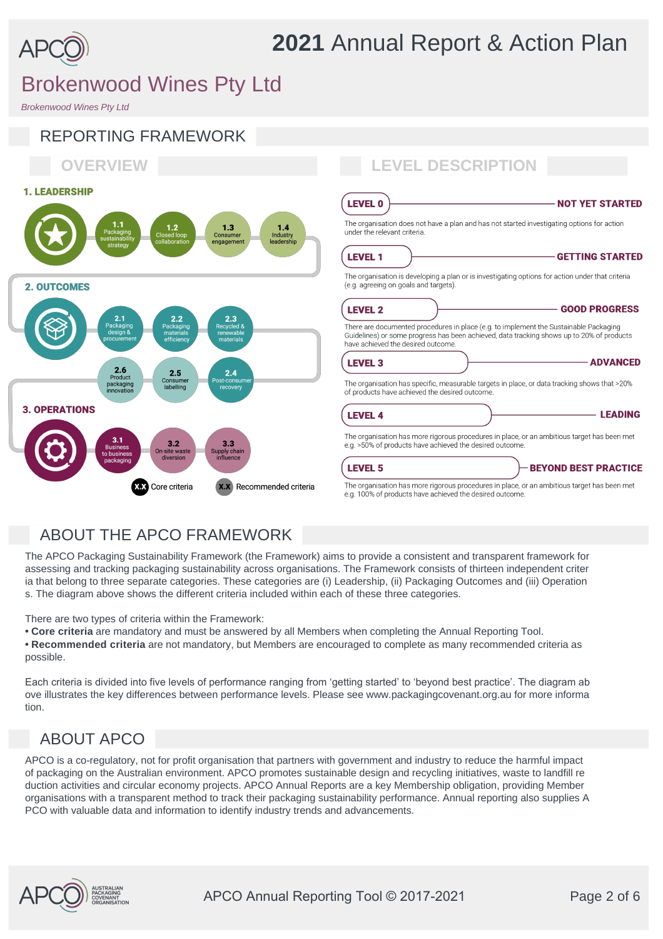

*Brokenwood Wines Pty Ltd*



## ABOUT THE APCO FRAMEWORK

The APCO Packaging Sustainability Framework (the Framework) aims to provide a consistent and transparent framework for assessing and tracking packaging sustainability across organisations. The Framework consists of thirteen independent criter ia that belong to three separate categories. These categories are (i) Leadership, (ii) Packaging Outcomes and (iii) Operation s. The diagram above shows the different criteria included within each of these three categories.

There are two types of criteria within the Framework:

- **Core criteria** are mandatory and must be answered by all Members when completing the Annual Reporting Tool.
- **Recommended criteria** are not mandatory, but Members are encouraged to complete as many recommended criteria as possible.

Each criteria is divided into five levels of performance ranging from 'getting started' to 'beyond best practice'. The diagram ab ove illustrates the key differences between performance levels. Please see www.packagingcovenant.org.au for more informa tion.

## ABOUT APCO

APCO is a co-regulatory, not for profit organisation that partners with government and industry to reduce the harmful impact of packaging on the Australian environment. APCO promotes sustainable design and recycling initiatives, waste to landfill re duction activities and circular economy projects. APCO Annual Reports are a key Membership obligation, providing Member organisations with a transparent method to track their packaging sustainability performance. Annual reporting also supplies A PCO with valuable data and information to identify industry trends and advancements.

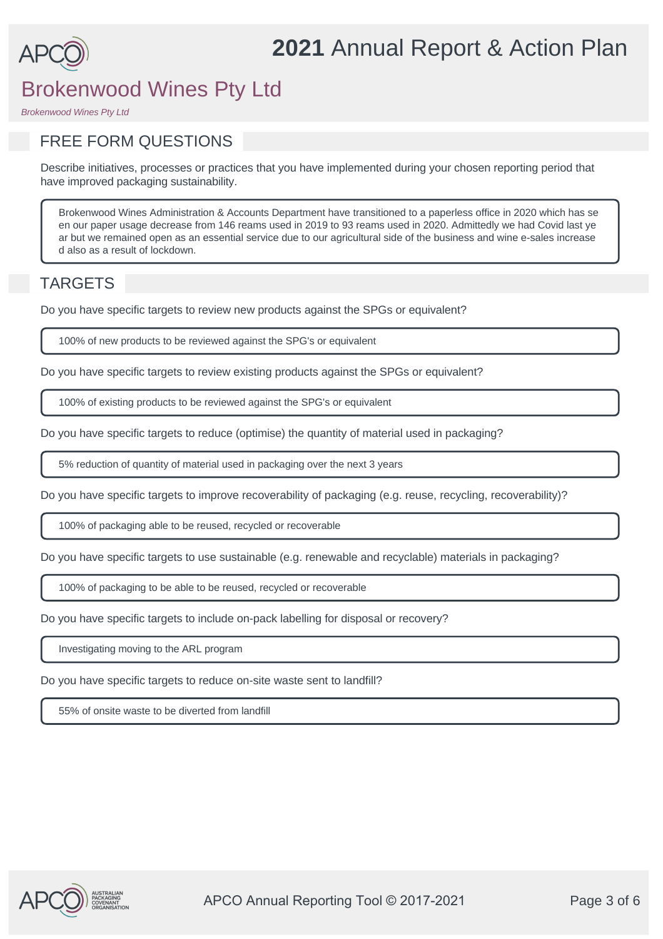

*Brokenwood Wines Pty Ltd*

## FREE FORM QUESTIONS

Describe initiatives, processes or practices that you have implemented during your chosen reporting period that have improved packaging sustainability.

Brokenwood Wines Administration & Accounts Department have transitioned to a paperless office in 2020 which has se en our paper usage decrease from 146 reams used in 2019 to 93 reams used in 2020. Admittedly we had Covid last ye ar but we remained open as an essential service due to our agricultural side of the business and wine e-sales increase d also as a result of lockdown.

## TARGETS

Do you have specific targets to review new products against the SPGs or equivalent?

100% of new products to be reviewed against the SPG's or equivalent

Do you have specific targets to review existing products against the SPGs or equivalent?

100% of existing products to be reviewed against the SPG's or equivalent

Do you have specific targets to reduce (optimise) the quantity of material used in packaging?

5% reduction of quantity of material used in packaging over the next 3 years

Do you have specific targets to improve recoverability of packaging (e.g. reuse, recycling, recoverability)?

100% of packaging able to be reused, recycled or recoverable

Do you have specific targets to use sustainable (e.g. renewable and recyclable) materials in packaging?

100% of packaging to be able to be reused, recycled or recoverable

Do you have specific targets to include on-pack labelling for disposal or recovery?

Investigating moving to the ARL program

Do you have specific targets to reduce on-site waste sent to landfill?

55% of onsite waste to be diverted from landfill

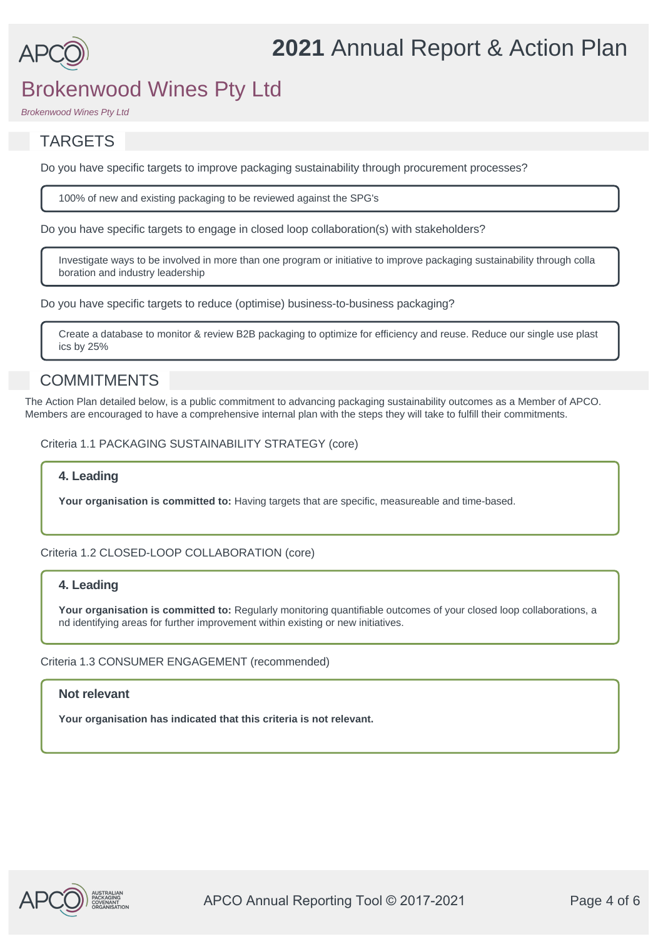

*Brokenwood Wines Pty Ltd*

## TARGETS

Do you have specific targets to improve packaging sustainability through procurement processes?

100% of new and existing packaging to be reviewed against the SPG's

Do you have specific targets to engage in closed loop collaboration(s) with stakeholders?

Investigate ways to be involved in more than one program or initiative to improve packaging sustainability through colla boration and industry leadership

Do you have specific targets to reduce (optimise) business-to-business packaging?

Create a database to monitor & review B2B packaging to optimize for efficiency and reuse. Reduce our single use plast ics by 25%

## **COMMITMENTS**

The Action Plan detailed below, is a public commitment to advancing packaging sustainability outcomes as a Member of APCO. Members are encouraged to have a comprehensive internal plan with the steps they will take to fulfill their commitments.

Criteria 1.1 PACKAGING SUSTAINABILITY STRATEGY (core)

#### **4. Leading**

**Your organisation is committed to:** Having targets that are specific, measureable and time-based.

Criteria 1.2 CLOSED-LOOP COLLABORATION (core)

#### **4. Leading**

**Your organisation is committed to:** Regularly monitoring quantifiable outcomes of your closed loop collaborations, a nd identifying areas for further improvement within existing or new initiatives.

#### Criteria 1.3 CONSUMER ENGAGEMENT (recommended)

#### **Not relevant**

**Your organisation has indicated that this criteria is not relevant.**

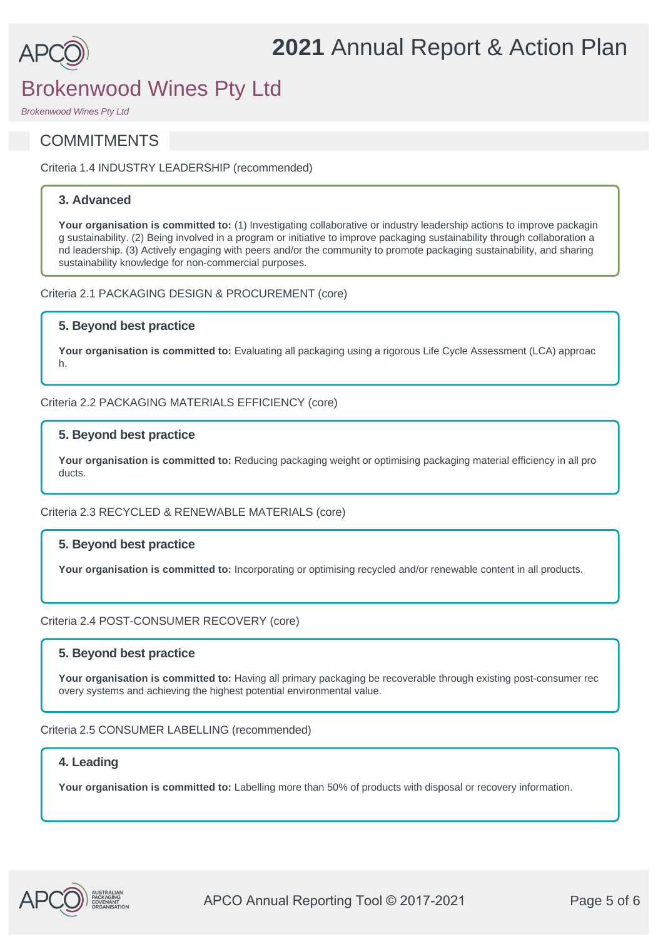

*Brokenwood Wines Pty Ltd*

## **COMMITMENTS**

Criteria 1.4 INDUSTRY LEADERSHIP (recommended)

### **3. Advanced**

Your organisation is committed to: (1) Investigating collaborative or industry leadership actions to improve packagin g sustainability. (2) Being involved in a program or initiative to improve packaging sustainability through collaboration a nd leadership. (3) Actively engaging with peers and/or the community to promote packaging sustainability, and sharing sustainability knowledge for non-commercial purposes.

Criteria 2.1 PACKAGING DESIGN & PROCUREMENT (core)

### **5. Beyond best practice**

**Your organisation is committed to:** Evaluating all packaging using a rigorous Life Cycle Assessment (LCA) approac h.

#### Criteria 2.2 PACKAGING MATERIALS EFFICIENCY (core)

### **5. Beyond best practice**

**Your organisation is committed to:** Reducing packaging weight or optimising packaging material efficiency in all pro ducts.

#### Criteria 2.3 RECYCLED & RENEWABLE MATERIALS (core)

#### **5. Beyond best practice**

**Your organisation is committed to:** Incorporating or optimising recycled and/or renewable content in all products.

#### Criteria 2.4 POST-CONSUMER RECOVERY (core)

#### **5. Beyond best practice**

**Your organisation is committed to:** Having all primary packaging be recoverable through existing post-consumer rec overy systems and achieving the highest potential environmental value.

#### Criteria 2.5 CONSUMER LABELLING (recommended)

#### **4. Leading**

**Your organisation is committed to:** Labelling more than 50% of products with disposal or recovery information.